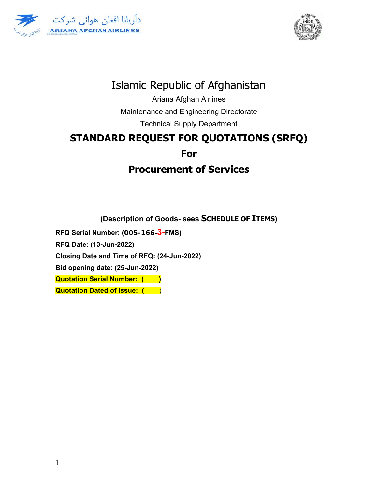



# Islamic Republic of Afghanistan

Ariana Afghan Airlines Maintenance and Engineering Directorate

Technical Supply Department

# **STANDARD REQUEST FOR QUOTATIONS (SRFQ) For Procurement of Services**

**(Description of Goods- sees SCHEDULE OF ITEMS)** 

**RFQ Serial Number: (005-166-3-FMS)** 

**RFQ Date: (13-Jun-2022)** 

**Closing Date and Time of RFQ: (24-Jun-2022)** 

**Bid opening date: (25-Jun-2022)** 

**Quotation Serial Number: ()** 

**Quotation Dated of Issue: ()**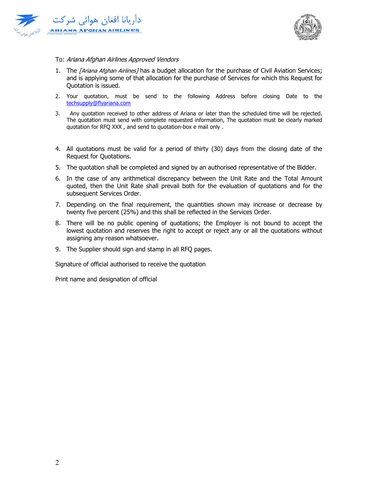



#### To: Ariana Afghan Airlines Approved Vendors

- 1. The [Ariana Afghan Airlines] has a budget allocation for the purchase of Civil Aviation Services; and is applying some of that allocation for the purchase of Services for which this Request for Quotation is issued.
- 2. Your quotation, must be send to the following Address before closing Date to the techsupply@flyariana.com
- 3. Any quotation received to other address of Ariana or later than the scheduled time will be rejected. The quotation must send with complete requested information, The quotation must be clearly marked quotation for RFQ XXX , and send to quotation-box e mail only .
- 4. All quotations must be valid for a period of thirty (30) days from the closing date of the Request for Quotations.
- 5. The quotation shall be completed and signed by an authorised representative of the Bidder.
- 6. In the case of any arithmetical discrepancy between the Unit Rate and the Total Amount quoted, then the Unit Rate shall prevail both for the evaluation of quotations and for the subsequent Services Order.
- 7. Depending on the final requirement, the quantities shown may increase or decrease by twenty five percent (25%) and this shall be reflected in the Services Order.
- 8. There will be no public opening of quotations; the Employer is not bound to accept the lowest quotation and reserves the right to accept or reject any or all the quotations without assigning any reason whatsoever.
- 9. The Supplier should sign and stamp in all RFQ pages.

Signature of official authorised to receive the quotation

Print name and designation of official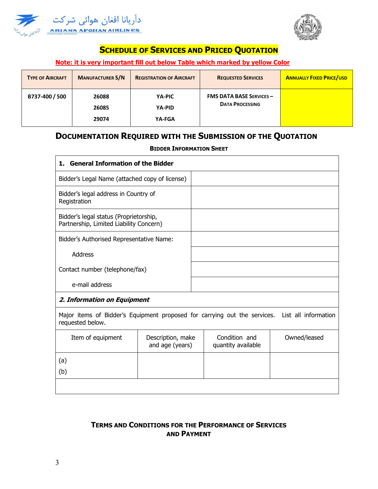



## **SCHEDULE OF SERVICES AND PRICED QUOTATION**

### **Note: it is very important fill out below Table which marked by yellow Color**

| <b>TYPE OF AIRCRAFT</b> | <b>MANUFACTURER S/N</b> | <b>REGISTRATION OF AIRCRAFT</b> | <b>REQUESTED SERVICES</b>                                 | <b>ANNUALLY FIXED PRICE/USD</b> |
|-------------------------|-------------------------|---------------------------------|-----------------------------------------------------------|---------------------------------|
| B737-400 / 500          | 26088<br>26085<br>29074 | YA-PIC<br>YA-PID<br>YA-FGA      | <b>FMS DATA BASE SERVICES -</b><br><b>DATA PROCESSING</b> |                                 |

# **DOCUMENTATION REQUIRED WITH THE SUBMISSION OF THE QUOTATION**

#### **BIDDER INFORMATION SHEET**

| 1. General Information of the Bidder                                              |  |  |  |  |
|-----------------------------------------------------------------------------------|--|--|--|--|
| Bidder's Legal Name (attached copy of license)                                    |  |  |  |  |
| Bidder's legal address in Country of<br>Registration                              |  |  |  |  |
| Bidder's legal status (Proprietorship,<br>Partnership, Limited Liability Concern) |  |  |  |  |
| Bidder's Authorised Representative Name:                                          |  |  |  |  |
| <b>Address</b>                                                                    |  |  |  |  |
| Contact number (telephone/fax)                                                    |  |  |  |  |
| e-mail address                                                                    |  |  |  |  |
| 2. Information on Equipment                                                       |  |  |  |  |

Major items of Bidder's Equipment proposed for carrying out the services. List all information requested below.

| Item of equipment | Description, make<br>and age (years) | Condition and<br>quantity available | Owned/leased |
|-------------------|--------------------------------------|-------------------------------------|--------------|
| (a)               |                                      |                                     |              |
| (b)               |                                      |                                     |              |
|                   |                                      |                                     |              |

## **TERMS AND CONDITIONS FOR THE PERFORMANCE OF SERVICES AND PAYMENT**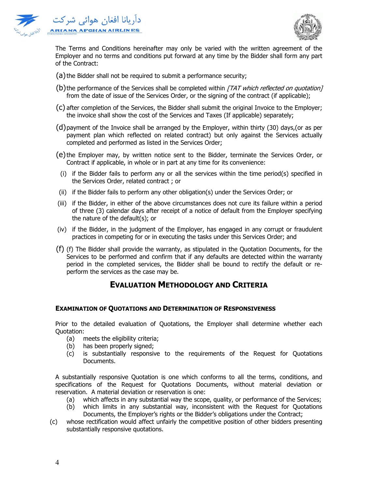



The Terms and Conditions hereinafter may only be varied with the written agreement of the Employer and no terms and conditions put forward at any time by the Bidder shall form any part of the Contract:

- (a) the Bidder shall not be required to submit a performance security;
- (b) the performance of the Services shall be completed within  $\overline{ITAT}$  which reflected on quotation] from the date of issue of the Services Order, or the signing of the contract (if applicable);
- (c) after completion of the Services, the Bidder shall submit the original Invoice to the Employer; the invoice shall show the cost of the Services and Taxes (If applicable) separately;
- (d)payment of the Invoice shall be arranged by the Employer, within thirty (30) days,(or as per payment plan which reflected on related contract) but only against the Services actually completed and performed as listed in the Services Order;
- (e)the Employer may, by written notice sent to the Bidder, terminate the Services Order, or Contract if applicable, in whole or in part at any time for its convenience:
	- (i) if the Bidder fails to perform any or all the services within the time period(s) specified in the Services Order, related contract ; or
- (ii) if the Bidder fails to perform any other obligation(s) under the Services Order; or
- (iii) if the Bidder, in either of the above circumstances does not cure its failure within a period of three (3) calendar days after receipt of a notice of default from the Employer specifying the nature of the default(s); or
- (iv) if the Bidder, in the judgment of the Employer, has engaged in any corrupt or fraudulent practices in competing for or in executing the tasks under this Services Order; and
- (f) (f) The Bidder shall provide the warranty, as stipulated in the Quotation Documents, for the Services to be performed and confirm that if any defaults are detected within the warranty period in the completed services, the Bidder shall be bound to rectify the default or reperform the services as the case may be.

## **EVALUATION METHODOLOGY AND CRITERIA**

#### **EXAMINATION OF QUOTATIONS AND DETERMINATION OF RESPONSIVENESS**

Prior to the detailed evaluation of Quotations, the Employer shall determine whether each Quotation:

- (a) meets the eligibility criteria;
- (b) has been properly signed;
- (c) is substantially responsive to the requirements of the Request for Quotations Documents.

A substantially responsive Quotation is one which conforms to all the terms, conditions, and specifications of the Request for Quotations Documents, without material deviation or reservation. A material deviation or reservation is one:

- (a) which affects in any substantial way the scope, quality, or performance of the Services;
- (b) which limits in any substantial way, inconsistent with the Request for Quotations Documents, the Employer's rights or the Bidder's obligations under the Contract;
- (c) whose rectification would affect unfairly the competitive position of other bidders presenting substantially responsive quotations.